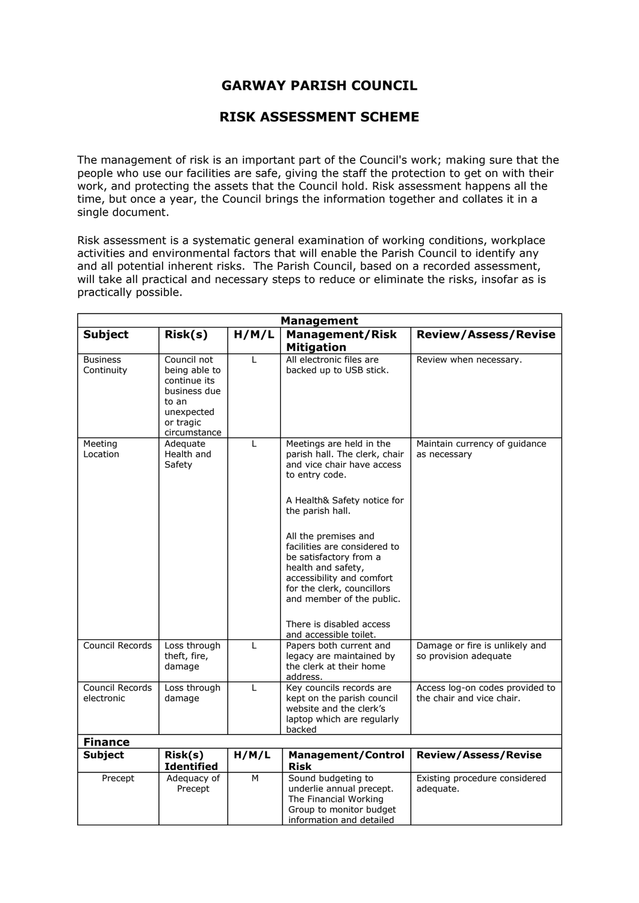## **GARWAY PARISH COUNCIL**

## **RISK ASSESSMENT SCHEME**

The management of risk is an important part of the Council's work; making sure that the people who use our facilities are safe, giving the staff the protection to get on with their work, and protecting the assets that the Council hold. Risk assessment happens all the time, but once a year, the Council brings the information together and collates it in a single document.

Risk assessment is a systematic general examination of working conditions, workplace activities and environmental factors that will enable the Parish Council to identify any and all potential inherent risks. The Parish Council, based on a recorded assessment, will take all practical and necessary steps to reduce or eliminate the risks, insofar as is practically possible.

| <b>Management</b>             |                                                                                                                  |              |                                                                                                                                                                                                                                                                                                                                                                                                                    |                                                              |
|-------------------------------|------------------------------------------------------------------------------------------------------------------|--------------|--------------------------------------------------------------------------------------------------------------------------------------------------------------------------------------------------------------------------------------------------------------------------------------------------------------------------------------------------------------------------------------------------------------------|--------------------------------------------------------------|
| <b>Subject</b>                | Risk(s)                                                                                                          | H/M/L        | <b>Management/Risk</b><br><b>Mitigation</b>                                                                                                                                                                                                                                                                                                                                                                        | <b>Review/Assess/Revise</b>                                  |
| <b>Business</b><br>Continuity | Council not<br>being able to<br>continue its<br>business due<br>to an<br>unexpected<br>or tragic<br>circumstance | L            | All electronic files are<br>backed up to USB stick.                                                                                                                                                                                                                                                                                                                                                                | Review when necessary.                                       |
| Meeting<br>Location           | Adequate<br>Health and<br>Safety                                                                                 | L            | Meetings are held in the<br>parish hall. The clerk, chair<br>and vice chair have access<br>to entry code.<br>A Health& Safety notice for<br>the parish hall.<br>All the premises and<br>facilities are considered to<br>be satisfactory from a<br>health and safety,<br>accessibility and comfort<br>for the clerk, councillors<br>and member of the public.<br>There is disabled access<br>and accessible toilet. | Maintain currency of guidance<br>as necessary                |
| Council Records               | Loss through<br>theft, fire,<br>damage                                                                           | $\mathbf{I}$ | Papers both current and<br>legacy are maintained by<br>the clerk at their home<br>address.                                                                                                                                                                                                                                                                                                                         | Damage or fire is unlikely and<br>so provision adequate      |
| Council Records<br>electronic | Loss through<br>damage                                                                                           | L            | Key councils records are<br>kept on the parish council<br>website and the clerk's<br>laptop which are regularly<br>backed                                                                                                                                                                                                                                                                                          | Access log-on codes provided to<br>the chair and vice chair. |
| <b>Finance</b>                |                                                                                                                  |              |                                                                                                                                                                                                                                                                                                                                                                                                                    |                                                              |
| <b>Subject</b>                | Risk(s)<br><b>Identified</b>                                                                                     | H/M/L        | <b>Management/Control</b><br><b>Risk</b>                                                                                                                                                                                                                                                                                                                                                                           | <b>Review/Assess/Revise</b>                                  |
| Precept                       | Adequacy of<br>Precept                                                                                           | M            | Sound budgeting to<br>underlie annual precept.<br>The Financial Working<br>Group to monitor budget<br>information and detailed                                                                                                                                                                                                                                                                                     | Existing procedure considered<br>adequate.                   |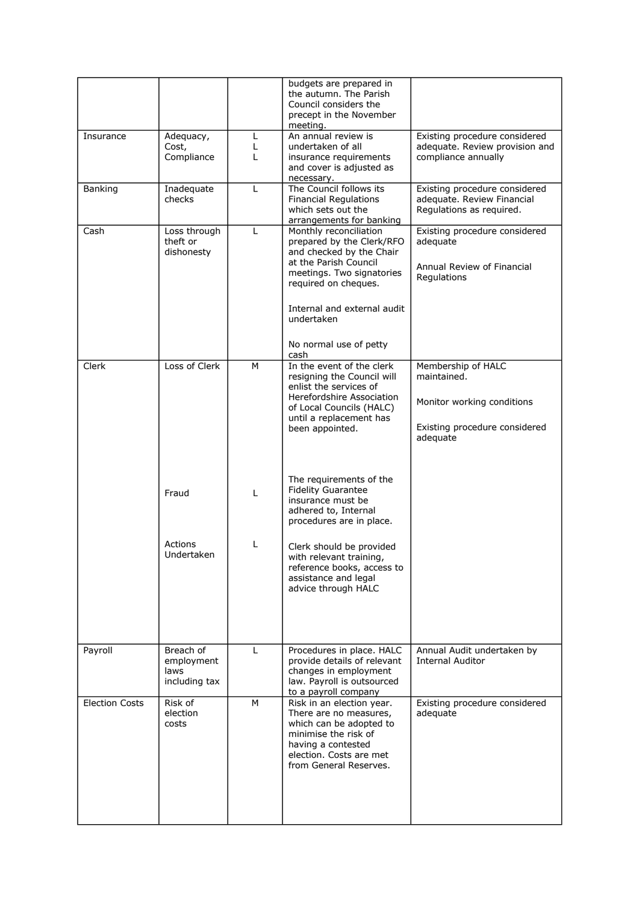|                       |                                                  |             | budgets are prepared in<br>the autumn. The Parish<br>Council considers the<br>precept in the November<br>meeting.                                                                                                                            |                                                                                                              |
|-----------------------|--------------------------------------------------|-------------|----------------------------------------------------------------------------------------------------------------------------------------------------------------------------------------------------------------------------------------------|--------------------------------------------------------------------------------------------------------------|
| Insurance             | Adequacy,<br>Cost,<br>Compliance                 | L<br>L<br>L | An annual review is<br>undertaken of all<br>insurance requirements<br>and cover is adjusted as<br>necessary.                                                                                                                                 | Existing procedure considered<br>adequate. Review provision and<br>compliance annually                       |
| Banking               | Inadequate<br>checks                             | L           | The Council follows its<br><b>Financial Regulations</b><br>which sets out the<br>arrangements for banking                                                                                                                                    | Existing procedure considered<br>adequate. Review Financial<br>Regulations as reguired.                      |
| Cash                  | Loss through<br>theft or<br>dishonesty           | L           | Monthly reconciliation<br>prepared by the Clerk/RFO<br>and checked by the Chair<br>at the Parish Council<br>meetings. Two signatories<br>required on cheques.<br>Internal and external audit<br>undertaken<br>No normal use of petty<br>cash | Existing procedure considered<br>adequate<br>Annual Review of Financial<br>Regulations                       |
| Clerk                 | Loss of Clerk                                    | M           | In the event of the clerk<br>resigning the Council will<br>enlist the services of<br>Herefordshire Association<br>of Local Councils (HALC)<br>until a replacement has<br>been appointed.                                                     | Membership of HALC<br>maintained.<br>Monitor working conditions<br>Existing procedure considered<br>adequate |
|                       | Fraud                                            | L           | The requirements of the<br><b>Fidelity Guarantee</b><br>insurance must be<br>adhered to, Internal<br>procedures are in place.                                                                                                                |                                                                                                              |
|                       | Actions<br>Undertaken                            | L           | Clerk should be provided<br>with relevant training,<br>reference books, access to<br>assistance and legal<br>advice through HALC                                                                                                             |                                                                                                              |
| Payroll               | Breach of<br>employment<br>laws<br>including tax | L           | Procedures in place. HALC<br>provide details of relevant<br>changes in employment<br>law. Payroll is outsourced<br>to a payroll company                                                                                                      | Annual Audit undertaken by<br><b>Internal Auditor</b>                                                        |
| <b>Election Costs</b> | Risk of<br>election<br>costs                     | M           | Risk in an election year.<br>There are no measures,<br>which can be adopted to<br>minimise the risk of<br>having a contested<br>election. Costs are met<br>from General Reserves.                                                            | Existing procedure considered<br>adequate                                                                    |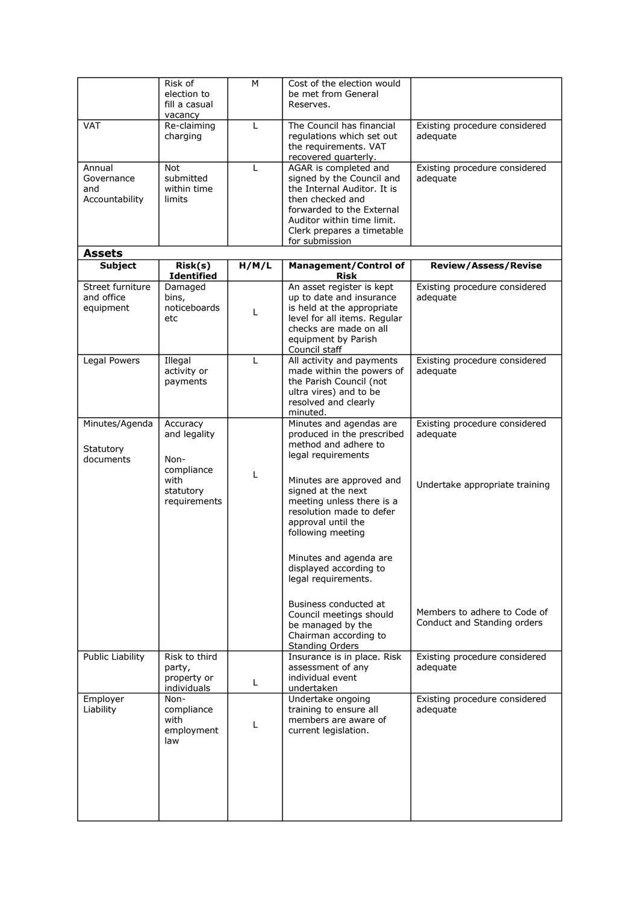|                                               | Risk of<br>election to<br>fill a casual                                             | M     | Cost of the election would<br>be met from General<br>Reserves.                                                                                                                                                                                                                      |                                                                             |
|-----------------------------------------------|-------------------------------------------------------------------------------------|-------|-------------------------------------------------------------------------------------------------------------------------------------------------------------------------------------------------------------------------------------------------------------------------------------|-----------------------------------------------------------------------------|
| <b>VAT</b>                                    | vacancy<br>Re-claiming<br>charging                                                  | L     | The Council has financial<br>regulations which set out                                                                                                                                                                                                                              | Existing procedure considered<br>adequate                                   |
|                                               |                                                                                     |       | the requirements. VAT<br>recovered quarterly.                                                                                                                                                                                                                                       |                                                                             |
| Annual<br>Governance<br>and<br>Accountability | Not<br>submitted<br>within time<br>limits                                           | L     | AGAR is completed and<br>signed by the Council and<br>the Internal Auditor. It is<br>then checked and<br>forwarded to the External<br>Auditor within time limit.<br>Clerk prepares a timetable<br>for submission                                                                    | Existing procedure considered<br>adequate                                   |
| <b>Assets</b>                                 |                                                                                     |       |                                                                                                                                                                                                                                                                                     |                                                                             |
| <b>Subject</b>                                | Risk(s)<br><b>Identified</b>                                                        | H/M/L | <b>Management/Control of</b><br><b>Risk</b>                                                                                                                                                                                                                                         | <b>Review/Assess/Revise</b>                                                 |
| Street furniture<br>and office<br>equipment   | Damaged<br>bins,<br>noticeboards<br>etc                                             | L     | An asset register is kept<br>up to date and insurance<br>is held at the appropriate<br>level for all items. Regular<br>checks are made on all<br>equipment by Parish<br>Council staff                                                                                               | Existing procedure considered<br>adequate                                   |
| Legal Powers                                  | Illegal<br>activity or<br>payments                                                  | L     | All activity and payments<br>made within the powers of<br>the Parish Council (not<br>ultra vires) and to be<br>resolved and clearly<br>minuted.                                                                                                                                     | Existing procedure considered<br>adequate                                   |
| Minutes/Agenda<br>Statutory<br>documents      | Accuracy<br>and legality<br>Non-<br>compliance<br>with<br>statutory<br>requirements | L     | Minutes and agendas are<br>produced in the prescribed<br>method and adhere to<br>legal requirements<br>Minutes are approved and<br>signed at the next<br>meeting unless there is a<br>resolution made to defer<br>approval until the<br>following meeting<br>Minutes and agenda are | Existing procedure considered<br>adequate<br>Undertake appropriate training |
|                                               |                                                                                     |       | displayed according to<br>legal requirements.<br>Business conducted at<br>Council meetings should<br>be managed by the<br>Chairman according to<br><b>Standing Orders</b>                                                                                                           | Members to adhere to Code of<br>Conduct and Standing orders                 |
| <b>Public Liability</b>                       | Risk to third<br>party,<br>property or<br>individuals                               | L     | Insurance is in place. Risk<br>assessment of any<br>individual event<br>undertaken                                                                                                                                                                                                  | Existing procedure considered<br>adequate                                   |
| Employer<br>Liability                         | Non-<br>compliance<br>with<br>employment<br>law                                     | L     | Undertake ongoing<br>training to ensure all<br>members are aware of<br>current legislation.                                                                                                                                                                                         | Existing procedure considered<br>adequate                                   |